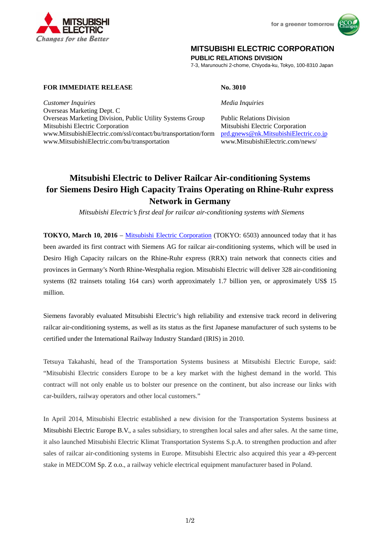



## **MITSUBISHI ELECTRIC CORPORATION**

**PUBLIC RELATIONS DIVISION** 

7-3, Marunouchi 2-chome, Chiyoda-ku, Tokyo, 100-8310 Japan

## **FOR IMMEDIATE RELEASE No. 3010**

*Customer Inquiries Media Inquiries*

Overseas Marketing Dept. C Overseas Marketing Division, Public Utility Systems Group Public Relations Division Mitsubishi Electric Corporation Mitsubishi Electric Corporation www.MitsubishiElectric.com/ssl/contact/bu/transportation/form prd.gnews@nk.MitsubishiElectric.co.jp www.MitsubishiElectric.com/bu/transportation www.MitsubishiElectric.com/news/

# **Mitsubishi Electric to Deliver Railcar Air-conditioning Systems for Siemens Desiro High Capacity Trains Operating on Rhine-Ruhr express Network in Germany**

 *Mitsubishi Electric's first deal for railcar air-conditioning systems with Siemens* 

**TOKYO, March 10, 2016** – Mitsubishi Electric Corporation (TOKYO: 6503) announced today that it has been awarded its first contract with Siemens AG for railcar air-conditioning systems, which will be used in Desiro High Capacity railcars on the Rhine-Ruhr express (RRX) train network that connects cities and provinces in Germany's North Rhine-Westphalia region. Mitsubishi Electric will deliver 328 air-conditioning systems (82 trainsets totaling 164 cars) worth approximately 1.7 billion yen, or approximately US\$ 15 million.

Siemens favorably evaluated Mitsubishi Electric's high reliability and extensive track record in delivering railcar air-conditioning systems, as well as its status as the first Japanese manufacturer of such systems to be certified under the International Railway Industry Standard (IRIS) in 2010.

Tetsuya Takahashi, head of the Transportation Systems business at Mitsubishi Electric Europe, said: "Mitsubishi Electric considers Europe to be a key market with the highest demand in the world. This contract will not only enable us to bolster our presence on the continent, but also increase our links with car-builders, railway operators and other local customers."

In April 2014, Mitsubishi Electric established a new division for the Transportation Systems business at Mitsubishi Electric Europe B.V., a sales subsidiary, to strengthen local sales and after sales. At the same time, it also launched Mitsubishi Electric Klimat Transportation Systems S.p.A. to strengthen production and after sales of railcar air-conditioning systems in Europe. Mitsubishi Electric also acquired this year a 49-percent stake in MEDCOM Sp. Z o.o., a railway vehicle electrical equipment manufacturer based in Poland.